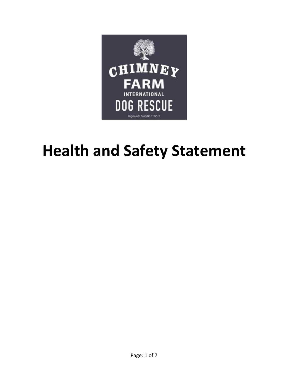

# **Health and Safety Statement**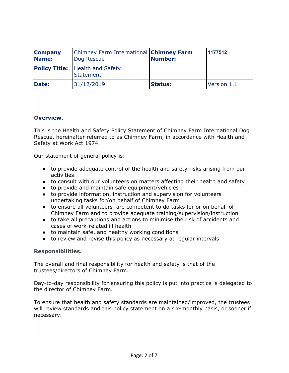| <b>Company</b><br>Name: | Chimney Farm International <b>Chimney Farm</b><br>Dog Rescue | <b>Number:</b> | 1177512     |
|-------------------------|--------------------------------------------------------------|----------------|-------------|
|                         | <b>Policy Title:</b> Health and Safety<br>Statement          |                |             |
| <b>Date:</b>            | 31/12/2019                                                   | <b>Status:</b> | Version 1.1 |

#### **Overview.**

This is the Health and Safety Policy Statement of Chimney Farm International Dog Rescue, hereinafter referred to as Chimney Farm, in accordance with Health and Safety at Work Act 1974.

Our statement of general policy is:

- to provide adequate control of the health and safety risks arising from our activities.
- to consult with our volunteers on matters affecting their health and safety
- to provide and maintain safe equipment/vehicles
- to provide information, instruction and supervision for volunteers undertaking tasks for/on behalf of Chimney Farm
- to ensure all volunteers are competent to do tasks for or on behalf of Chimney Farm and to provide adequate training/supervision/instruction
- to take all precautions and actions to minimise the risk of accidents and cases of work-related ill health
- to maintain safe, and healthy working conditions
- to review and revise this policy as necessary at regular intervals

#### **Responsibilities.**

The overall and final responsibility for health and safety is that of the trustees/directors of Chimney Farm.

Day-to-day responsibility for ensuring this policy is put into practice is delegated to the director of Chimney Farm.

To ensure that health and safety standards are maintained/improved, the trustees will review standards and this policy statement on a six-monthly basis, or sooner if necessary.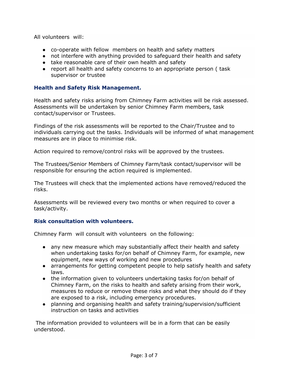All volunteers will:

- co-operate with fellow members on health and safety matters
- not interfere with anything provided to safeguard their health and safety
- take reasonable care of their own health and safety
- report all health and safety concerns to an appropriate person ( task supervisor or trustee

#### **Health and Safety Risk Management.**

Health and safety risks arising from Chimney Farm activities will be risk assessed. Assessments will be undertaken by senior Chimney Farm members, task contact/supervisor or Trustees.

Findings of the risk assessments will be reported to the Chair/Trustee and to individuals carrying out the tasks. Individuals will be informed of what management measures are in place to minimise risk.

Action required to remove/control risks will be approved by the trustees.

The Trustees/Senior Members of Chimney Farm/task contact/supervisor will be responsible for ensuring the action required is implemented.

The Trustees will check that the implemented actions have removed/reduced the risks.

Assessments will be reviewed every two months or when required to cover a task/activity.

#### **Risk consultation with volunteers.**

Chimney Farm will consult with volunteers on the following:

- any new measure which may substantially affect their health and safety when undertaking tasks for/on behalf of Chimney Farm, for example, new equipment, new ways of working and new procedures
- arrangements for getting competent people to help satisfy health and safety laws.
- the information given to volunteers undertaking tasks for/on behalf of Chimney Farm, on the risks to health and safety arising from their work, measures to reduce or remove these risks and what they should do if they are exposed to a risk, including emergency procedures.
- planning and organising health and safety training/supervision/sufficient instruction on tasks and activities

The information provided to volunteers will be in a form that can be easily understood.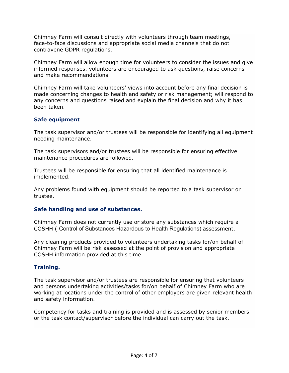Chimney Farm will consult directly with volunteers through team meetings, face-to-face discussions and appropriate social media channels that do not contravene GDPR regulations.

Chimney Farm will allow enough time for volunteers to consider the issues and give informed responses. volunteers are encouraged to ask questions, raise concerns and make recommendations.

Chimney Farm will take volunteers' views into account before any final decision is made concerning changes to health and safety or risk management; will respond to any concerns and questions raised and explain the final decision and why it has been taken.

#### **Safe equipment**

The task supervisor and/or trustees will be responsible for identifying all equipment needing maintenance.

The task supervisors and/or trustees will be responsible for ensuring effective maintenance procedures are followed.

Trustees will be responsible for ensuring that all identified maintenance is implemented.

Any problems found with equipment should be reported to a task supervisor or trustee.

#### **Safe handling and use of substances.**

Chimney Farm does not currently use or store any substances which require a COSHH ( Control of Substances Hazardous to Health Regulations) assessment.

Any cleaning products provided to volunteers undertaking tasks for/on behalf of Chimney Farm will be risk assessed at the point of provision and appropriate COSHH information provided at this time.

#### **Training.**

The task supervisor and/or trustees are responsible for ensuring that volunteers and persons undertaking activities/tasks for/on behalf of Chimney Farm who are working at locations under the control of other employers are given relevant health and safety information.

Competency for tasks and training is provided and is assessed by senior members or the task contact/supervisor before the individual can carry out the task.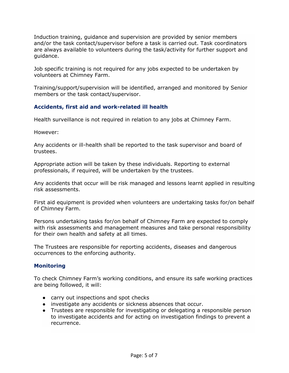Induction training, guidance and supervision are provided by senior members and/or the task contact/supervisor before a task is carried out. Task coordinators are always available to volunteers during the task/activity for further support and guidance.

Job specific training is not required for any jobs expected to be undertaken by volunteers at Chimney Farm.

Training/support/supervision will be identified, arranged and monitored by Senior members or the task contact/supervisor.

### **Accidents, first aid and work-related ill health**

Health surveillance is not required in relation to any jobs at Chimney Farm.

However:

Any accidents or ill-health shall be reported to the task supervisor and board of trustees.

Appropriate action will be taken by these individuals. Reporting to external professionals, if required, will be undertaken by the trustees.

Any accidents that occur will be risk managed and lessons learnt applied in resulting risk assessments.

First aid equipment is provided when volunteers are undertaking tasks for/on behalf of Chimney Farm.

Persons undertaking tasks for/on behalf of Chimney Farm are expected to comply with risk assessments and management measures and take personal responsibility for their own health and safety at all times.

The Trustees are responsible for reporting accidents, diseases and dangerous occurrences to the enforcing authority.

#### **Monitoring**

To check Chimney Farm's working conditions, and ensure its safe working practices are being followed, it will:

- carry out inspections and spot checks
- investigate any accidents or sickness absences that occur.
- Trustees are responsible for investigating or delegating a responsible person to investigate accidents and for acting on investigation findings to prevent a recurrence.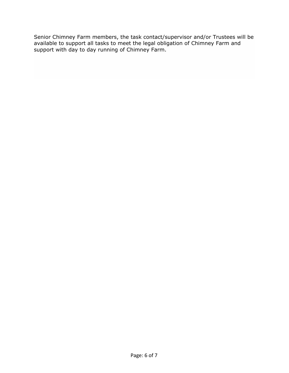Senior Chimney Farm members, the task contact/supervisor and/or Trustees will be available to support all tasks to meet the legal obligation of Chimney Farm and support with day to day running of Chimney Farm.